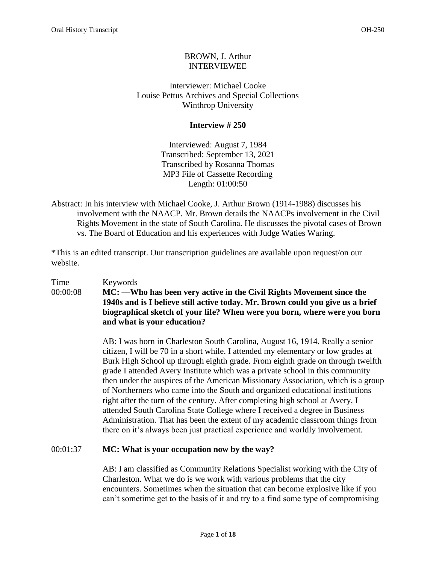# BROWN, J. Arthur INTERVIEWEE

Interviewer: Michael Cooke Louise Pettus Archives and Special Collections Winthrop University

# **Interview # 250**

Interviewed: August 7, 1984 Transcribed: September 13, 2021 Transcribed by Rosanna Thomas MP3 File of Cassette Recording Length: 01:00:50

Abstract: In his interview with Michael Cooke, J. Arthur Brown (1914-1988) discusses his involvement with the NAACP. Mr. Brown details the NAACPs involvement in the Civil Rights Movement in the state of South Carolina. He discusses the pivotal cases of Brown vs. The Board of Education and his experiences with Judge Waties Waring.

\*This is an edited transcript. Our transcription guidelines are available upon request/on our website.

## Time Keywords 00:00:08 **MC: —Who has been very active in the Civil Rights Movement since the 1940s and is I believe still active today. Mr. Brown could you give us a brief biographical sketch of your life? When were you born, where were you born and what is your education?**

AB: I was born in Charleston South Carolina, August 16, 1914. Really a senior citizen, I will be 70 in a short while. I attended my elementary or low grades at Burk High School up through eighth grade. From eighth grade on through twelfth grade I attended Avery Institute which was a private school in this community then under the auspices of the American Missionary Association, which is a group of Northerners who came into the South and organized educational institutions right after the turn of the century. After completing high school at Avery, I attended South Carolina State College where I received a degree in Business Administration. That has been the extent of my academic classroom things from there on it's always been just practical experience and worldly involvement.

# 00:01:37 **MC: What is your occupation now by the way?**

AB: I am classified as Community Relations Specialist working with the City of Charleston. What we do is we work with various problems that the city encounters. Sometimes when the situation that can become explosive like if you can't sometime get to the basis of it and try to a find some type of compromising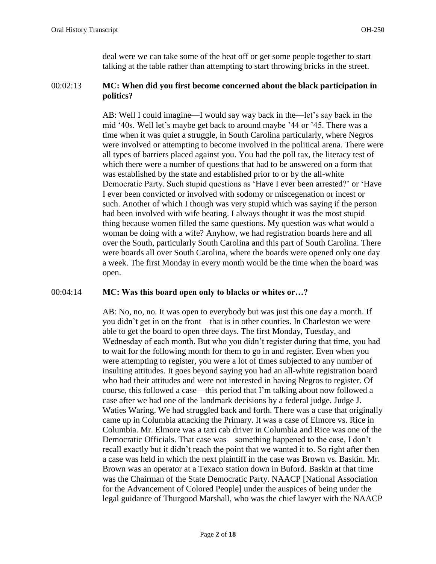deal were we can take some of the heat off or get some people together to start talking at the table rather than attempting to start throwing bricks in the street.

## 00:02:13 **MC: When did you first become concerned about the black participation in politics?**

AB: Well I could imagine—I would say way back in the—let's say back in the mid '40s. Well let's maybe get back to around maybe '44 or '45. There was a time when it was quiet a struggle, in South Carolina particularly, where Negros were involved or attempting to become involved in the political arena. There were all types of barriers placed against you. You had the poll tax, the literacy test of which there were a number of questions that had to be answered on a form that was established by the state and established prior to or by the all-white Democratic Party. Such stupid questions as 'Have I ever been arrested?' or 'Have I ever been convicted or involved with sodomy or miscegenation or incest or such. Another of which I though was very stupid which was saying if the person had been involved with wife beating. I always thought it was the most stupid thing because women filled the same questions. My question was what would a woman be doing with a wife? Anyhow, we had registration boards here and all over the South, particularly South Carolina and this part of South Carolina. There were boards all over South Carolina, where the boards were opened only one day a week. The first Monday in every month would be the time when the board was open.

## 00:04:14 **MC: Was this board open only to blacks or whites or…?**

AB: No, no, no. It was open to everybody but was just this one day a month. If you didn't get in on the front—that is in other counties. In Charleston we were able to get the board to open three days. The first Monday, Tuesday, and Wednesday of each month. But who you didn't register during that time, you had to wait for the following month for them to go in and register. Even when you were attempting to register, you were a lot of times subjected to any number of insulting attitudes. It goes beyond saying you had an all-white registration board who had their attitudes and were not interested in having Negros to register. Of course, this followed a case—this period that I'm talking about now followed a case after we had one of the landmark decisions by a federal judge. Judge J. Waties Waring. We had struggled back and forth. There was a case that originally came up in Columbia attacking the Primary. It was a case of Elmore vs. Rice in Columbia. Mr. Elmore was a taxi cab driver in Columbia and Rice was one of the Democratic Officials. That case was—something happened to the case, I don't recall exactly but it didn't reach the point that we wanted it to. So right after then a case was held in which the next plaintiff in the case was Brown vs. Baskin. Mr. Brown was an operator at a Texaco station down in Buford. Baskin at that time was the Chairman of the State Democratic Party. NAACP [National Association for the Advancement of Colored People] under the auspices of being under the legal guidance of Thurgood Marshall, who was the chief lawyer with the NAACP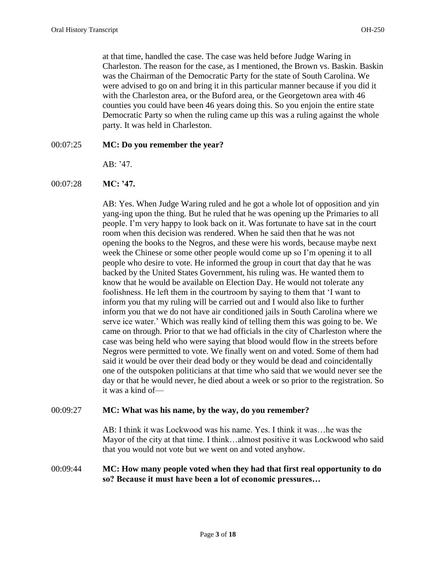at that time, handled the case. The case was held before Judge Waring in Charleston. The reason for the case, as I mentioned, the Brown vs. Baskin. Baskin was the Chairman of the Democratic Party for the state of South Carolina. We were advised to go on and bring it in this particular manner because if you did it with the Charleston area, or the Buford area, or the Georgetown area with 46 counties you could have been 46 years doing this. So you enjoin the entire state Democratic Party so when the ruling came up this was a ruling against the whole party. It was held in Charleston.

### 00:07:25 **MC: Do you remember the year?**

AB: '47.

00:07:28 **MC: '47.** 

AB: Yes. When Judge Waring ruled and he got a whole lot of opposition and yin yang-ing upon the thing. But he ruled that he was opening up the Primaries to all people. I'm very happy to look back on it. Was fortunate to have sat in the court room when this decision was rendered. When he said then that he was not opening the books to the Negros, and these were his words, because maybe next week the Chinese or some other people would come up so I'm opening it to all people who desire to vote. He informed the group in court that day that he was backed by the United States Government, his ruling was. He wanted them to know that he would be available on Election Day. He would not tolerate any foolishness. He left them in the courtroom by saying to them that 'I want to inform you that my ruling will be carried out and I would also like to further inform you that we do not have air conditioned jails in South Carolina where we serve ice water.' Which was really kind of telling them this was going to be. We came on through. Prior to that we had officials in the city of Charleston where the case was being held who were saying that blood would flow in the streets before Negros were permitted to vote. We finally went on and voted. Some of them had said it would be over their dead body or they would be dead and coincidentally one of the outspoken politicians at that time who said that we would never see the day or that he would never, he died about a week or so prior to the registration. So it was a kind of—

#### 00:09:27 **MC: What was his name, by the way, do you remember?**

AB: I think it was Lockwood was his name. Yes. I think it was…he was the Mayor of the city at that time. I think…almost positive it was Lockwood who said that you would not vote but we went on and voted anyhow.

## 00:09:44 **MC: How many people voted when they had that first real opportunity to do so? Because it must have been a lot of economic pressures…**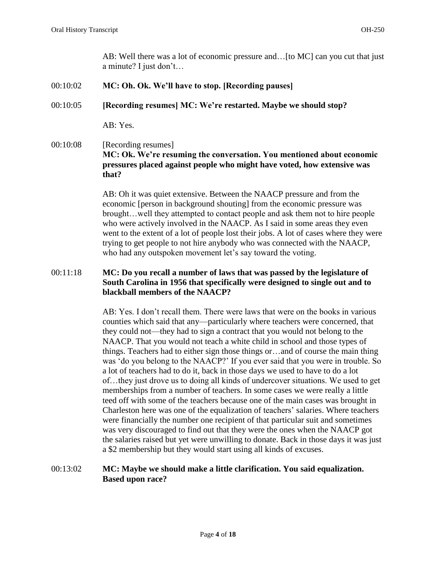AB: Well there was a lot of economic pressure and…[to MC] can you cut that just a minute? I just don't…

- 00:10:02 **MC: Oh. Ok. We'll have to stop. [Recording pauses]**
- 00:10:05 **[Recording resumes] MC: We're restarted. Maybe we should stop?**

AB: Yes.

# 00:10:08 [Recording resumes] **MC: Ok. We're resuming the conversation. You mentioned about economic pressures placed against people who might have voted, how extensive was that?**

AB: Oh it was quiet extensive. Between the NAACP pressure and from the economic [person in background shouting] from the economic pressure was brought…well they attempted to contact people and ask them not to hire people who were actively involved in the NAACP. As I said in some areas they even went to the extent of a lot of people lost their jobs. A lot of cases where they were trying to get people to not hire anybody who was connected with the NAACP, who had any outspoken movement let's say toward the voting.

# 00:11:18 **MC: Do you recall a number of laws that was passed by the legislature of South Carolina in 1956 that specifically were designed to single out and to blackball members of the NAACP?**

AB: Yes. I don't recall them. There were laws that were on the books in various counties which said that any—particularly where teachers were concerned, that they could not—they had to sign a contract that you would not belong to the NAACP. That you would not teach a white child in school and those types of things. Teachers had to either sign those things or…and of course the main thing was 'do you belong to the NAACP?' If you ever said that you were in trouble. So a lot of teachers had to do it, back in those days we used to have to do a lot of…they just drove us to doing all kinds of undercover situations. We used to get memberships from a number of teachers. In some cases we were really a little teed off with some of the teachers because one of the main cases was brought in Charleston here was one of the equalization of teachers' salaries. Where teachers were financially the number one recipient of that particular suit and sometimes was very discouraged to find out that they were the ones when the NAACP got the salaries raised but yet were unwilling to donate. Back in those days it was just a \$2 membership but they would start using all kinds of excuses.

# 00:13:02 **MC: Maybe we should make a little clarification. You said equalization. Based upon race?**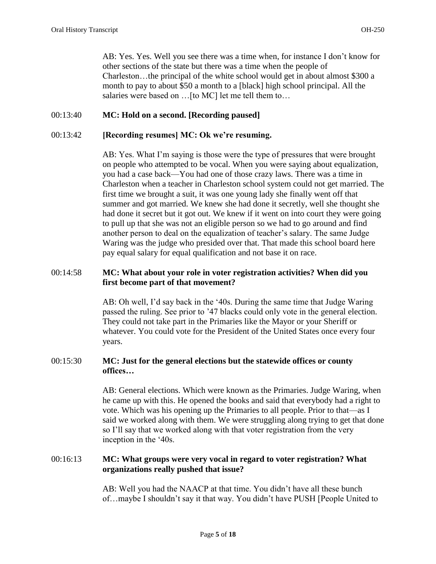AB: Yes. Yes. Well you see there was a time when, for instance I don't know for other sections of the state but there was a time when the people of Charleston…the principal of the white school would get in about almost \$300 a month to pay to about \$50 a month to a [black] high school principal. All the salaries were based on …[to MC] let me tell them to…

# 00:13:40 **MC: Hold on a second. [Recording paused]**

### 00:13:42 **[Recording resumes] MC: Ok we're resuming.**

AB: Yes. What I'm saying is those were the type of pressures that were brought on people who attempted to be vocal. When you were saying about equalization, you had a case back—You had one of those crazy laws. There was a time in Charleston when a teacher in Charleston school system could not get married. The first time we brought a suit, it was one young lady she finally went off that summer and got married. We knew she had done it secretly, well she thought she had done it secret but it got out. We knew if it went on into court they were going to pull up that she was not an eligible person so we had to go around and find another person to deal on the equalization of teacher's salary. The same Judge Waring was the judge who presided over that. That made this school board here pay equal salary for equal qualification and not base it on race.

# 00:14:58 **MC: What about your role in voter registration activities? When did you first become part of that movement?**

AB: Oh well, I'd say back in the '40s. During the same time that Judge Waring passed the ruling. See prior to '47 blacks could only vote in the general election. They could not take part in the Primaries like the Mayor or your Sheriff or whatever. You could vote for the President of the United States once every four years.

# 00:15:30 **MC: Just for the general elections but the statewide offices or county offices…**

AB: General elections. Which were known as the Primaries. Judge Waring, when he came up with this. He opened the books and said that everybody had a right to vote. Which was his opening up the Primaries to all people. Prior to that—as I said we worked along with them. We were struggling along trying to get that done so I'll say that we worked along with that voter registration from the very inception in the '40s.

# 00:16:13 **MC: What groups were very vocal in regard to voter registration? What organizations really pushed that issue?**

AB: Well you had the NAACP at that time. You didn't have all these bunch of…maybe I shouldn't say it that way. You didn't have PUSH [People United to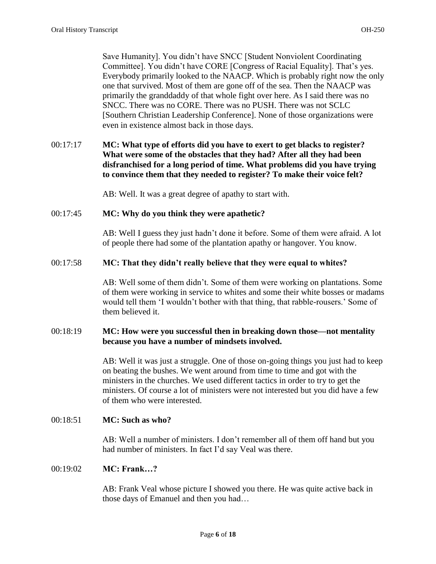Save Humanity]. You didn't have SNCC [Student Nonviolent Coordinating Committee]. You didn't have CORE [Congress of Racial Equality]. That's yes. Everybody primarily looked to the NAACP. Which is probably right now the only one that survived. Most of them are gone off of the sea. Then the NAACP was primarily the granddaddy of that whole fight over here. As I said there was no SNCC. There was no CORE. There was no PUSH. There was not SCLC [Southern Christian Leadership Conference]. None of those organizations were even in existence almost back in those days.

# 00:17:17 **MC: What type of efforts did you have to exert to get blacks to register? What were some of the obstacles that they had? After all they had been disfranchised for a long period of time. What problems did you have trying to convince them that they needed to register? To make their voice felt?**

AB: Well. It was a great degree of apathy to start with.

### 00:17:45 **MC: Why do you think they were apathetic?**

AB: Well I guess they just hadn't done it before. Some of them were afraid. A lot of people there had some of the plantation apathy or hangover. You know.

### 00:17:58 **MC: That they didn't really believe that they were equal to whites?**

AB: Well some of them didn't. Some of them were working on plantations. Some of them were working in service to whites and some their white bosses or madams would tell them 'I wouldn't bother with that thing, that rabble-rousers.' Some of them believed it.

## 00:18:19 **MC: How were you successful then in breaking down those—not mentality because you have a number of mindsets involved.**

AB: Well it was just a struggle. One of those on-going things you just had to keep on beating the bushes. We went around from time to time and got with the ministers in the churches. We used different tactics in order to try to get the ministers. Of course a lot of ministers were not interested but you did have a few of them who were interested.

## 00:18:51 **MC: Such as who?**

AB: Well a number of ministers. I don't remember all of them off hand but you had number of ministers. In fact I'd say Veal was there.

## 00:19:02 **MC: Frank…?**

AB: Frank Veal whose picture I showed you there. He was quite active back in those days of Emanuel and then you had…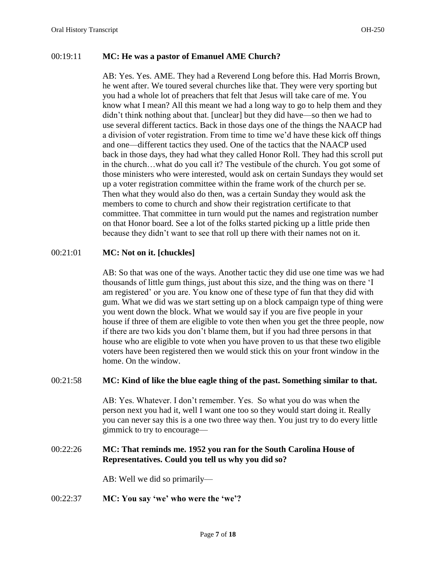### 00:19:11 **MC: He was a pastor of Emanuel AME Church?**

AB: Yes. Yes. AME. They had a Reverend Long before this. Had Morris Brown, he went after. We toured several churches like that. They were very sporting but you had a whole lot of preachers that felt that Jesus will take care of me. You know what I mean? All this meant we had a long way to go to help them and they didn't think nothing about that. [unclear] but they did have—so then we had to use several different tactics. Back in those days one of the things the NAACP had a division of voter registration. From time to time we'd have these kick off things and one—different tactics they used. One of the tactics that the NAACP used back in those days, they had what they called Honor Roll. They had this scroll put in the church…what do you call it? The vestibule of the church. You got some of those ministers who were interested, would ask on certain Sundays they would set up a voter registration committee within the frame work of the church per se. Then what they would also do then, was a certain Sunday they would ask the members to come to church and show their registration certificate to that committee. That committee in turn would put the names and registration number on that Honor board. See a lot of the folks started picking up a little pride then because they didn't want to see that roll up there with their names not on it.

### 00:21:01 **MC: Not on it. [chuckles]**

AB: So that was one of the ways. Another tactic they did use one time was we had thousands of little gum things, just about this size, and the thing was on there 'I am registered' or you are. You know one of these type of fun that they did with gum. What we did was we start setting up on a block campaign type of thing were you went down the block. What we would say if you are five people in your house if three of them are eligible to vote then when you get the three people, now if there are two kids you don't blame them, but if you had three persons in that house who are eligible to vote when you have proven to us that these two eligible voters have been registered then we would stick this on your front window in the home. On the window.

#### 00:21:58 **MC: Kind of like the blue eagle thing of the past. Something similar to that.**

AB: Yes. Whatever. I don't remember. Yes. So what you do was when the person next you had it, well I want one too so they would start doing it. Really you can never say this is a one two three way then. You just try to do every little gimmick to try to encourage—

### 00:22:26 **MC: That reminds me. 1952 you ran for the South Carolina House of Representatives. Could you tell us why you did so?**

AB: Well we did so primarily—

#### 00:22:37 **MC: You say 'we' who were the 'we'?**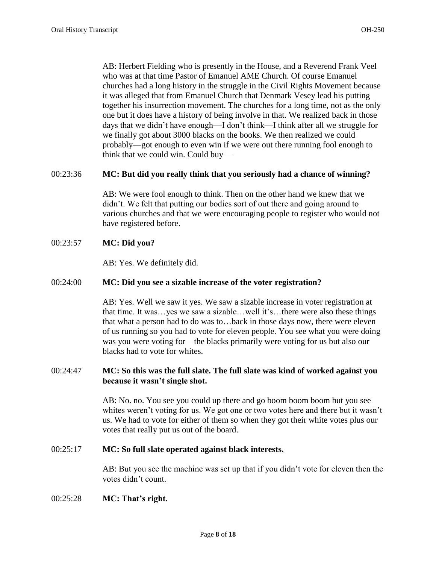AB: Herbert Fielding who is presently in the House, and a Reverend Frank Veel who was at that time Pastor of Emanuel AME Church. Of course Emanuel churches had a long history in the struggle in the Civil Rights Movement because it was alleged that from Emanuel Church that Denmark Vesey lead his putting together his insurrection movement. The churches for a long time, not as the only one but it does have a history of being involve in that. We realized back in those days that we didn't have enough—I don't think—I think after all we struggle for we finally got about 3000 blacks on the books. We then realized we could probably—got enough to even win if we were out there running fool enough to think that we could win. Could buy—

### 00:23:36 **MC: But did you really think that you seriously had a chance of winning?**

AB: We were fool enough to think. Then on the other hand we knew that we didn't. We felt that putting our bodies sort of out there and going around to various churches and that we were encouraging people to register who would not have registered before.

### 00:23:57 **MC: Did you?**

AB: Yes. We definitely did.

#### 00:24:00 **MC: Did you see a sizable increase of the voter registration?**

AB: Yes. Well we saw it yes. We saw a sizable increase in voter registration at that time. It was…yes we saw a sizable…well it's…there were also these things that what a person had to do was to…back in those days now, there were eleven of us running so you had to vote for eleven people. You see what you were doing was you were voting for—the blacks primarily were voting for us but also our blacks had to vote for whites.

## 00:24:47 **MC: So this was the full slate. The full slate was kind of worked against you because it wasn't single shot.**

AB: No. no. You see you could up there and go boom boom boom but you see whites weren't voting for us. We got one or two votes here and there but it wasn't us. We had to vote for either of them so when they got their white votes plus our votes that really put us out of the board.

#### 00:25:17 **MC: So full slate operated against black interests.**

AB: But you see the machine was set up that if you didn't vote for eleven then the votes didn't count.

#### 00:25:28 **MC: That's right.**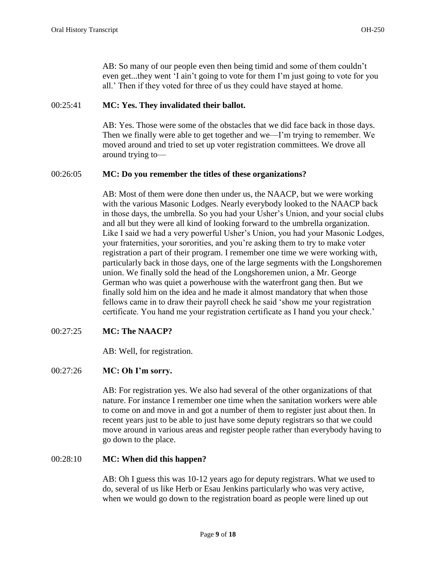AB: So many of our people even then being timid and some of them couldn't even get...they went 'I ain't going to vote for them I'm just going to vote for you all.' Then if they voted for three of us they could have stayed at home.

# 00:25:41 **MC: Yes. They invalidated their ballot.**

AB: Yes. Those were some of the obstacles that we did face back in those days. Then we finally were able to get together and we—I'm trying to remember. We moved around and tried to set up voter registration committees. We drove all around trying to—

## 00:26:05 **MC: Do you remember the titles of these organizations?**

AB: Most of them were done then under us, the NAACP, but we were working with the various Masonic Lodges. Nearly everybody looked to the NAACP back in those days, the umbrella. So you had your Usher's Union, and your social clubs and all but they were all kind of looking forward to the umbrella organization. Like I said we had a very powerful Usher's Union, you had your Masonic Lodges, your fraternities, your sororities, and you're asking them to try to make voter registration a part of their program. I remember one time we were working with, particularly back in those days, one of the large segments with the Longshoremen union. We finally sold the head of the Longshoremen union, a Mr. George German who was quiet a powerhouse with the waterfront gang then. But we finally sold him on the idea and he made it almost mandatory that when those fellows came in to draw their payroll check he said 'show me your registration certificate. You hand me your registration certificate as I hand you your check.'

## 00:27:25 **MC: The NAACP?**

AB: Well, for registration.

## 00:27:26 **MC: Oh I'm sorry.**

AB: For registration yes. We also had several of the other organizations of that nature. For instance I remember one time when the sanitation workers were able to come on and move in and got a number of them to register just about then. In recent years just to be able to just have some deputy registrars so that we could move around in various areas and register people rather than everybody having to go down to the place.

## 00:28:10 **MC: When did this happen?**

AB: Oh I guess this was 10-12 years ago for deputy registrars. What we used to do, several of us like Herb or Esau Jenkins particularly who was very active, when we would go down to the registration board as people were lined up out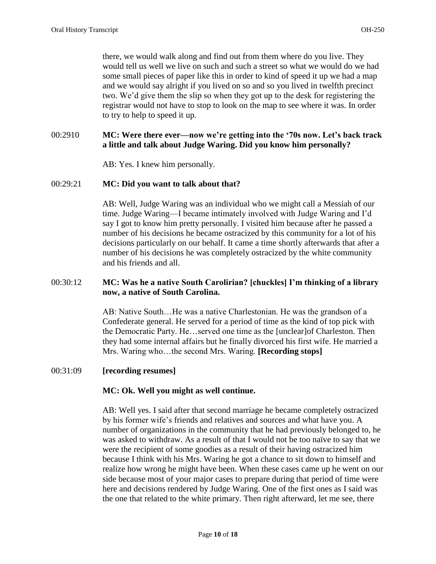there, we would walk along and find out from them where do you live. They would tell us well we live on such and such a street so what we would do we had some small pieces of paper like this in order to kind of speed it up we had a map and we would say alright if you lived on so and so you lived in twelfth precinct two. We'd give them the slip so when they got up to the desk for registering the registrar would not have to stop to look on the map to see where it was. In order to try to help to speed it up.

## 00:2910 **MC: Were there ever—now we're getting into the '70s now. Let's back track a little and talk about Judge Waring. Did you know him personally?**

AB: Yes. I knew him personally.

### 00:29:21 **MC: Did you want to talk about that?**

AB: Well, Judge Waring was an individual who we might call a Messiah of our time. Judge Waring—I became intimately involved with Judge Waring and I'd say I got to know him pretty personally. I visited him because after he passed a number of his decisions he became ostracized by this community for a lot of his decisions particularly on our behalf. It came a time shortly afterwards that after a number of his decisions he was completely ostracized by the white community and his friends and all.

# 00:30:12 **MC: Was he a native South Carolirian? [chuckles] I'm thinking of a library now, a native of South Carolina.**

AB: Native South…He was a native Charlestonian. He was the grandson of a Confederate general. He served for a period of time as the kind of top pick with the Democratic Party. He…served one time as the [unclear]of Charleston. Then they had some internal affairs but he finally divorced his first wife. He married a Mrs. Waring who…the second Mrs. Waring. **[Recording stops]**

#### 00:31:09 **[recording resumes]**

## **MC: Ok. Well you might as well continue.**

AB: Well yes. I said after that second marriage he became completely ostracized by his former wife's friends and relatives and sources and what have you. A number of organizations in the community that he had previously belonged to, he was asked to withdraw. As a result of that I would not be too naïve to say that we were the recipient of some goodies as a result of their having ostracized him because I think with his Mrs. Waring he got a chance to sit down to himself and realize how wrong he might have been. When these cases came up he went on our side because most of your major cases to prepare during that period of time were here and decisions rendered by Judge Waring. One of the first ones as I said was the one that related to the white primary. Then right afterward, let me see, there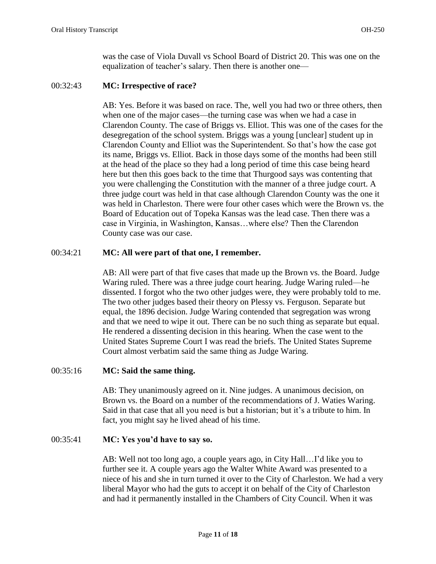was the case of Viola Duvall vs School Board of District 20. This was one on the equalization of teacher's salary. Then there is another one—

### 00:32:43 **MC: Irrespective of race?**

AB: Yes. Before it was based on race. The, well you had two or three others, then when one of the major cases—the turning case was when we had a case in Clarendon County. The case of Briggs vs. Elliot. This was one of the cases for the desegregation of the school system. Briggs was a young [unclear] student up in Clarendon County and Elliot was the Superintendent. So that's how the case got its name, Briggs vs. Elliot. Back in those days some of the months had been still at the head of the place so they had a long period of time this case being heard here but then this goes back to the time that Thurgood says was contenting that you were challenging the Constitution with the manner of a three judge court. A three judge court was held in that case although Clarendon County was the one it was held in Charleston. There were four other cases which were the Brown vs. the Board of Education out of Topeka Kansas was the lead case. Then there was a case in Virginia, in Washington, Kansas…where else? Then the Clarendon County case was our case.

## 00:34:21 **MC: All were part of that one, I remember.**

AB: All were part of that five cases that made up the Brown vs. the Board. Judge Waring ruled. There was a three judge court hearing. Judge Waring ruled—he dissented. I forgot who the two other judges were, they were probably told to me. The two other judges based their theory on Plessy vs. Ferguson. Separate but equal, the 1896 decision. Judge Waring contended that segregation was wrong and that we need to wipe it out. There can be no such thing as separate but equal. He rendered a dissenting decision in this hearing. When the case went to the United States Supreme Court I was read the briefs. The United States Supreme Court almost verbatim said the same thing as Judge Waring.

## 00:35:16 **MC: Said the same thing.**

AB: They unanimously agreed on it. Nine judges. A unanimous decision, on Brown vs. the Board on a number of the recommendations of J. Waties Waring. Said in that case that all you need is but a historian; but it's a tribute to him. In fact, you might say he lived ahead of his time.

## 00:35:41 **MC: Yes you'd have to say so.**

AB: Well not too long ago, a couple years ago, in City Hall…I'd like you to further see it. A couple years ago the Walter White Award was presented to a niece of his and she in turn turned it over to the City of Charleston. We had a very liberal Mayor who had the guts to accept it on behalf of the City of Charleston and had it permanently installed in the Chambers of City Council. When it was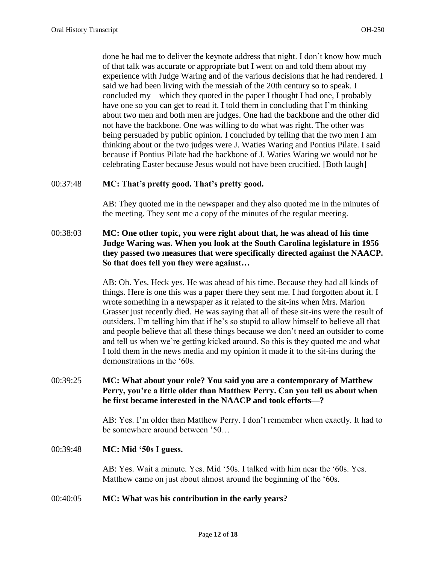done he had me to deliver the keynote address that night. I don't know how much of that talk was accurate or appropriate but I went on and told them about my experience with Judge Waring and of the various decisions that he had rendered. I said we had been living with the messiah of the 20th century so to speak. I concluded my—which they quoted in the paper I thought I had one, I probably have one so you can get to read it. I told them in concluding that I'm thinking about two men and both men are judges. One had the backbone and the other did not have the backbone. One was willing to do what was right. The other was being persuaded by public opinion. I concluded by telling that the two men I am thinking about or the two judges were J. Waties Waring and Pontius Pilate. I said because if Pontius Pilate had the backbone of J. Waties Waring we would not be celebrating Easter because Jesus would not have been crucified. [Both laugh]

### 00:37:48 **MC: That's pretty good. That's pretty good.**

AB: They quoted me in the newspaper and they also quoted me in the minutes of the meeting. They sent me a copy of the minutes of the regular meeting.

## 00:38:03 **MC: One other topic, you were right about that, he was ahead of his time Judge Waring was. When you look at the South Carolina legislature in 1956 they passed two measures that were specifically directed against the NAACP. So that does tell you they were against…**

AB: Oh. Yes. Heck yes. He was ahead of his time. Because they had all kinds of things. Here is one this was a paper there they sent me. I had forgotten about it. I wrote something in a newspaper as it related to the sit-ins when Mrs. Marion Grasser just recently died. He was saying that all of these sit-ins were the result of outsiders. I'm telling him that if he's so stupid to allow himself to believe all that and people believe that all these things because we don't need an outsider to come and tell us when we're getting kicked around. So this is they quoted me and what I told them in the news media and my opinion it made it to the sit-ins during the demonstrations in the '60s.

# 00:39:25 **MC: What about your role? You said you are a contemporary of Matthew Perry, you're a little older than Matthew Perry. Can you tell us about when he first became interested in the NAACP and took efforts—?**

AB: Yes. I'm older than Matthew Perry. I don't remember when exactly. It had to be somewhere around between '50…

#### 00:39:48 **MC: Mid '50s I guess.**

AB: Yes. Wait a minute. Yes. Mid '50s. I talked with him near the '60s. Yes. Matthew came on just about almost around the beginning of the '60s.

#### 00:40:05 **MC: What was his contribution in the early years?**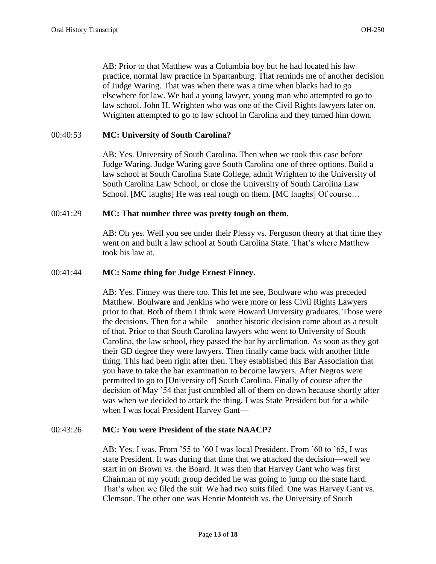AB: Prior to that Matthew was a Columbia boy but he had located his law practice, normal law practice in Spartanburg. That reminds me of another decision of Judge Waring. That was when there was a time when blacks had to go elsewhere for law. We had a young lawyer, young man who attempted to go to law school. John H. Wrighten who was one of the Civil Rights lawyers later on. Wrighten attempted to go to law school in Carolina and they turned him down.

# 00:40:53 **MC: University of South Carolina?**

AB: Yes. University of South Carolina. Then when we took this case before Judge Waring. Judge Waring gave South Carolina one of three options. Build a law school at South Carolina State College, admit Wrighten to the University of South Carolina Law School, or close the University of South Carolina Law School. [MC laughs] He was real rough on them. [MC laughs] Of course…

### 00:41:29 **MC: That number three was pretty tough on them.**

AB: Oh yes. Well you see under their Plessy vs. Ferguson theory at that time they went on and built a law school at South Carolina State. That's where Matthew took his law at.

### 00:41:44 **MC: Same thing for Judge Ernest Finney.**

AB: Yes. Finney was there too. This let me see, Boulware who was preceded Matthew. Boulware and Jenkins who were more or less Civil Rights Lawyers prior to that. Both of them I think were Howard University graduates. Those were the decisions. Then for a while—another historic decision came about as a result of that. Prior to that South Carolina lawyers who went to University of South Carolina, the law school, they passed the bar by acclimation. As soon as they got their GD degree they were lawyers. Then finally came back with another little thing. This had been right after then. They established this Bar Association that you have to take the bar examination to become lawyers. After Negros were permitted to go to [University of] South Carolina. Finally of course after the decision of May '54 that just crumbled all of them on down because shortly after was when we decided to attack the thing. I was State President but for a while when I was local President Harvey Gant—

#### 00:43:26 **MC: You were President of the state NAACP?**

AB: Yes. I was. From '55 to '60 I was local President. From '60 to '65, I was state President. It was during that time that we attacked the decision—well we start in on Brown vs. the Board. It was then that Harvey Gant who was first Chairman of my youth group decided he was going to jump on the state hard. That's when we filed the suit. We had two suits filed. One was Harvey Gant vs. Clemson. The other one was Henrie Monteith vs. the University of South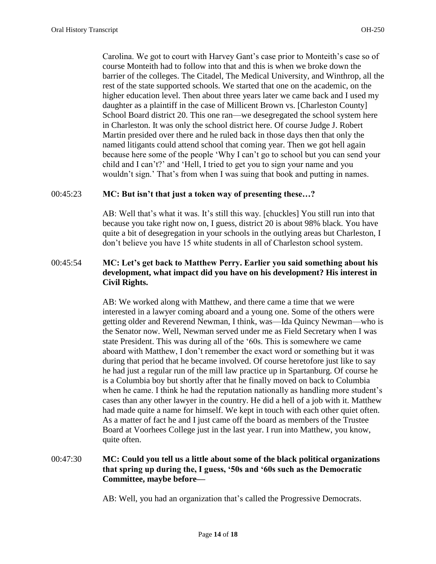Carolina. We got to court with Harvey Gant's case prior to Monteith's case so of course Monteith had to follow into that and this is when we broke down the barrier of the colleges. The Citadel, The Medical University, and Winthrop, all the rest of the state supported schools. We started that one on the academic, on the higher education level. Then about three years later we came back and I used my daughter as a plaintiff in the case of Millicent Brown vs. [Charleston County] School Board district 20. This one ran—we desegregated the school system here in Charleston. It was only the school district here. Of course Judge J. Robert Martin presided over there and he ruled back in those days then that only the named litigants could attend school that coming year. Then we got hell again because here some of the people 'Why I can't go to school but you can send your child and I can't?' and 'Hell, I tried to get you to sign your name and you wouldn't sign.' That's from when I was suing that book and putting in names.

### 00:45:23 **MC: But isn't that just a token way of presenting these…?**

AB: Well that's what it was. It's still this way. [chuckles] You still run into that because you take right now on, I guess, district 20 is about 98% black. You have quite a bit of desegregation in your schools in the outlying areas but Charleston, I don't believe you have 15 white students in all of Charleston school system.

# 00:45:54 **MC: Let's get back to Matthew Perry. Earlier you said something about his development, what impact did you have on his development? His interest in Civil Rights.**

AB: We worked along with Matthew, and there came a time that we were interested in a lawyer coming aboard and a young one. Some of the others were getting older and Reverend Newman, I think, was—Ida Quincy Newman—who is the Senator now. Well, Newman served under me as Field Secretary when I was state President. This was during all of the '60s. This is somewhere we came aboard with Matthew, I don't remember the exact word or something but it was during that period that he became involved. Of course heretofore just like to say he had just a regular run of the mill law practice up in Spartanburg. Of course he is a Columbia boy but shortly after that he finally moved on back to Columbia when he came. I think he had the reputation nationally as handling more student's cases than any other lawyer in the country. He did a hell of a job with it. Matthew had made quite a name for himself. We kept in touch with each other quiet often. As a matter of fact he and I just came off the board as members of the Trustee Board at Voorhees College just in the last year. I run into Matthew, you know, quite often.

# 00:47:30 **MC: Could you tell us a little about some of the black political organizations that spring up during the, I guess, '50s and '60s such as the Democratic Committee, maybe before—**

AB: Well, you had an organization that's called the Progressive Democrats.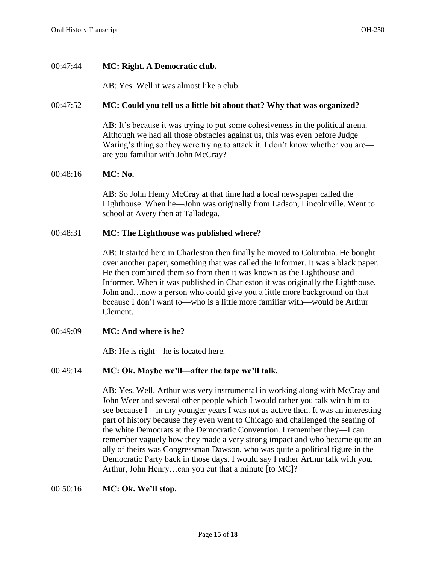## 00:47:44 **MC: Right. A Democratic club.**

AB: Yes. Well it was almost like a club.

### 00:47:52 **MC: Could you tell us a little bit about that? Why that was organized?**

AB: It's because it was trying to put some cohesiveness in the political arena. Although we had all those obstacles against us, this was even before Judge Waring's thing so they were trying to attack it. I don't know whether you are are you familiar with John McCray?

# 00:48:16 **MC: No.**

AB: So John Henry McCray at that time had a local newspaper called the Lighthouse. When he—John was originally from Ladson, Lincolnville. Went to school at Avery then at Talladega.

### 00:48:31 **MC: The Lighthouse was published where?**

AB: It started here in Charleston then finally he moved to Columbia. He bought over another paper, something that was called the Informer. It was a black paper. He then combined them so from then it was known as the Lighthouse and Informer. When it was published in Charleston it was originally the Lighthouse. John and…now a person who could give you a little more background on that because I don't want to—who is a little more familiar with—would be Arthur Clement.

00:49:09 **MC: And where is he?** 

AB: He is right—he is located here.

## 00:49:14 **MC: Ok. Maybe we'll—after the tape we'll talk.**

AB: Yes. Well, Arthur was very instrumental in working along with McCray and John Weer and several other people which I would rather you talk with him to see because I—in my younger years I was not as active then. It was an interesting part of history because they even went to Chicago and challenged the seating of the white Democrats at the Democratic Convention. I remember they—I can remember vaguely how they made a very strong impact and who became quite an ally of theirs was Congressman Dawson, who was quite a political figure in the Democratic Party back in those days. I would say I rather Arthur talk with you. Arthur, John Henry…can you cut that a minute [to MC]?

#### 00:50:16 **MC: Ok. We'll stop.**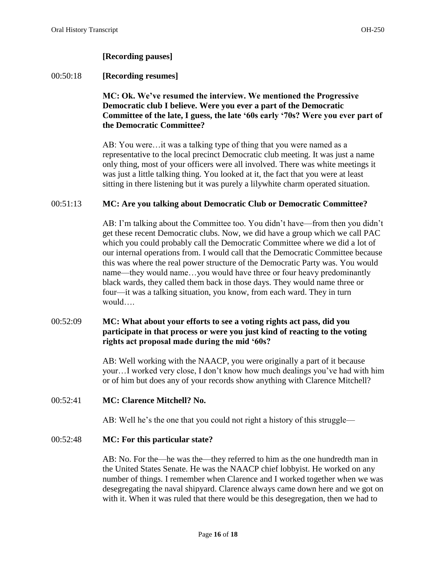## **[Recording pauses]**

### 00:50:18 **[Recording resumes]**

# **MC: Ok. We've resumed the interview. We mentioned the Progressive Democratic club I believe. Were you ever a part of the Democratic Committee of the late, I guess, the late '60s early '70s? Were you ever part of the Democratic Committee?**

AB: You were…it was a talking type of thing that you were named as a representative to the local precinct Democratic club meeting. It was just a name only thing, most of your officers were all involved. There was white meetings it was just a little talking thing. You looked at it, the fact that you were at least sitting in there listening but it was purely a lilywhite charm operated situation.

### 00:51:13 **MC: Are you talking about Democratic Club or Democratic Committee?**

AB: I'm talking about the Committee too. You didn't have—from then you didn't get these recent Democratic clubs. Now, we did have a group which we call PAC which you could probably call the Democratic Committee where we did a lot of our internal operations from. I would call that the Democratic Committee because this was where the real power structure of the Democratic Party was. You would name—they would name…you would have three or four heavy predominantly black wards, they called them back in those days. They would name three or four—it was a talking situation, you know, from each ward. They in turn would….

# 00:52:09 **MC: What about your efforts to see a voting rights act pass, did you participate in that process or were you just kind of reacting to the voting rights act proposal made during the mid '60s?**

AB: Well working with the NAACP, you were originally a part of it because your…I worked very close, I don't know how much dealings you've had with him or of him but does any of your records show anything with Clarence Mitchell?

#### 00:52:41 **MC: Clarence Mitchell? No.**

AB: Well he's the one that you could not right a history of this struggle—

### 00:52:48 **MC: For this particular state?**

AB: No. For the—he was the—they referred to him as the one hundredth man in the United States Senate. He was the NAACP chief lobbyist. He worked on any number of things. I remember when Clarence and I worked together when we was desegregating the naval shipyard. Clarence always came down here and we got on with it. When it was ruled that there would be this desegregation, then we had to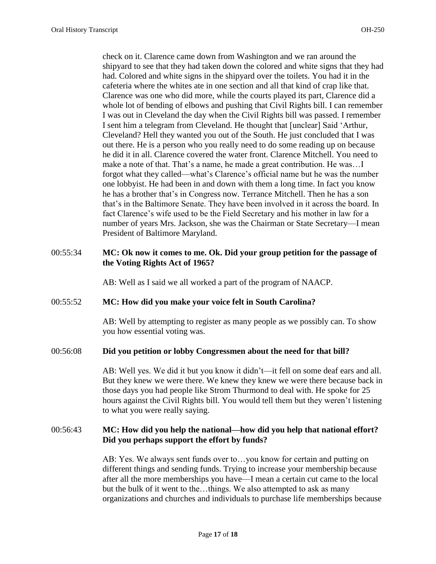check on it. Clarence came down from Washington and we ran around the shipyard to see that they had taken down the colored and white signs that they had had. Colored and white signs in the shipyard over the toilets. You had it in the cafeteria where the whites ate in one section and all that kind of crap like that. Clarence was one who did more, while the courts played its part, Clarence did a whole lot of bending of elbows and pushing that Civil Rights bill. I can remember I was out in Cleveland the day when the Civil Rights bill was passed. I remember I sent him a telegram from Cleveland. He thought that [unclear] Said 'Arthur, Cleveland? Hell they wanted you out of the South. He just concluded that I was out there. He is a person who you really need to do some reading up on because he did it in all. Clarence covered the water front. Clarence Mitchell. You need to make a note of that. That's a name, he made a great contribution. He was…I forgot what they called—what's Clarence's official name but he was the number one lobbyist. He had been in and down with them a long time. In fact you know he has a brother that's in Congress now. Terrance Mitchell. Then he has a son that's in the Baltimore Senate. They have been involved in it across the board. In fact Clarence's wife used to be the Field Secretary and his mother in law for a number of years Mrs. Jackson, she was the Chairman or State Secretary—I mean President of Baltimore Maryland.

### 00:55:34 **MC: Ok now it comes to me. Ok. Did your group petition for the passage of the Voting Rights Act of 1965?**

AB: Well as I said we all worked a part of the program of NAACP.

#### 00:55:52 **MC: How did you make your voice felt in South Carolina?**

AB: Well by attempting to register as many people as we possibly can. To show you how essential voting was.

#### 00:56:08 **Did you petition or lobby Congressmen about the need for that bill?**

AB: Well yes. We did it but you know it didn't—it fell on some deaf ears and all. But they knew we were there. We knew they knew we were there because back in those days you had people like Strom Thurmond to deal with. He spoke for 25 hours against the Civil Rights bill. You would tell them but they weren't listening to what you were really saying.

## 00:56:43 **MC: How did you help the national—how did you help that national effort? Did you perhaps support the effort by funds?**

AB: Yes. We always sent funds over to…you know for certain and putting on different things and sending funds. Trying to increase your membership because after all the more memberships you have—I mean a certain cut came to the local but the bulk of it went to the…things. We also attempted to ask as many organizations and churches and individuals to purchase life memberships because